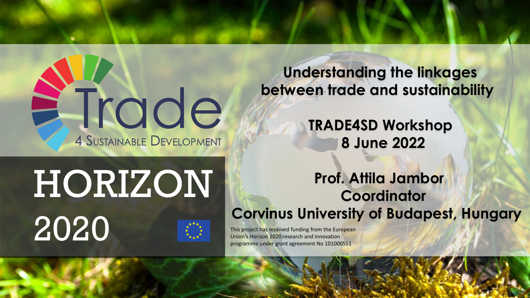ETrade **4 SUSTAINABLE DEVELOPMENT** 

**Understanding the linkages between trade and sustainability**

> **TRADE4SD Workshop 8 June 2022**

# HORIZON 2020 This project has received funding from the European<br>Union's Horizon 2020 research and innovation

#### **Prof. Attila Jambor Coordinator Corvinus University of Budapest, Hungary**

Union's Horizon 2020 research and innovation programme under grant agreement No 101000551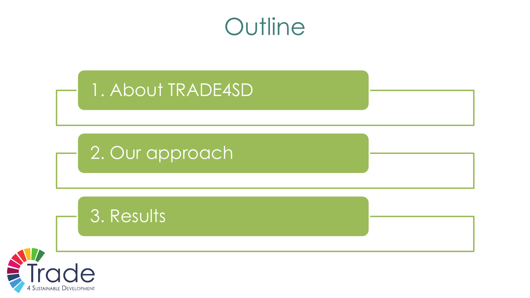



4 Sustainable Developmen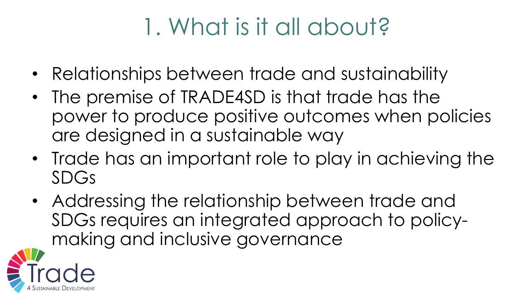# 1. What is it all about?

- Relationships between trade and sustainability
- The premise of TRADE4SD is that trade has the power to produce positive outcomes when policies are designed in a sustainable way
- Trade has an important role to play in achieving the SDGs
- Addressing the relationship between trade and SDGs requires an integrated approach to policymaking and inclusive governance

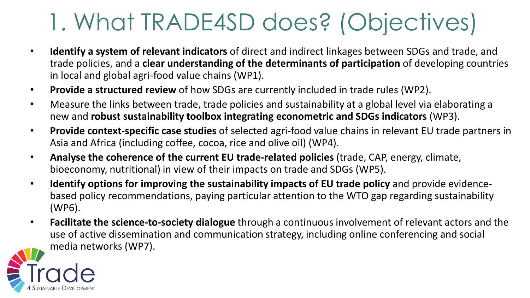## 1. What TRADE4SD does? (Objectives)

- **Identify a system of relevant indicators** of direct and indirect linkages between SDGs and trade, and trade policies, and a **clear understanding of the determinants of participation** of developing countries in local and global agri-food value chains (WP1).
- **Provide a structured review** of how SDGs are currently included in trade rules (WP2).
- Measure the links between trade, trade policies and sustainability at a global level via elaborating a new and **robust sustainability toolbox integrating econometric and SDGs indicators** (WP3).
- **Provide context-specific case studies** of selected agri-food value chains in relevant EU trade partners in Asia and Africa (including coffee, cocoa, rice and olive oil) (WP4).
- **Analyse the coherence of the current EU trade-related policies** (trade, CAP, energy, climate, bioeconomy, nutritional) in view of their impacts on trade and SDGs (WP5).
- **Identify options for improving the sustainability impacts of EU trade policy** and provide evidencebased policy recommendations, paying particular attention to the WTO gap regarding sustainability (WP6).
- **Facilitate the science-to-society dialogue** through a continuous involvement of relevant actors and the use of active dissemination and communication strategy, including online conferencing and social media networks (WP7).

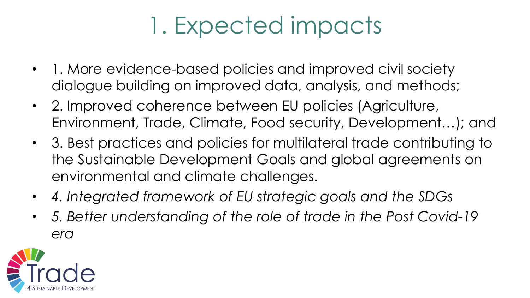# 1. Expected impacts

- 1. More evidence-based policies and improved civil society dialogue building on improved data, analysis, and methods;
- 2. Improved coherence between EU policies (Agriculture, Environment, Trade, Climate, Food security, Development…); and
- 3. Best practices and policies for multilateral trade contributing to the Sustainable Development Goals and global agreements on environmental and climate challenges.
- *4. Integrated framework of EU strategic goals and the SDGs*
- *5. Better understanding of the role of trade in the Post Covid-19 era*

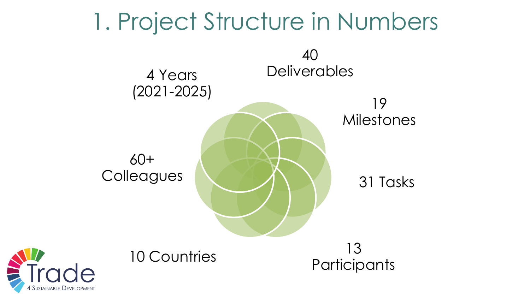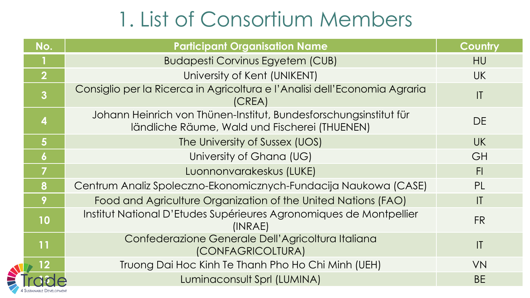### 1. List of Consortium Members

| No.                     | <b>Participant Organisation Name</b>                                                                               | Country        |
|-------------------------|--------------------------------------------------------------------------------------------------------------------|----------------|
|                         | <b>Budapesti Corvinus Egyetem (CUB)</b>                                                                            | <b>HU</b>      |
| $\overline{2}$          | University of Kent (UNIKENT)                                                                                       | <b>UK</b>      |
| $\overline{3}$          | Consiglio per la Ricerca in Agricoltura e l'Analisi dell'Economia Agraria<br>(CREA)                                | T              |
| $\overline{\mathbf{4}}$ | Johann Heinrich von Thünen-Institut, Bundesforschungsinstitut für<br>ländliche Räume, Wald und Fischerei (THUENEN) | <b>DE</b>      |
| $5\phantom{1}$          | The University of Sussex (UOS)                                                                                     | <b>UK</b>      |
| $\boldsymbol{6}$        | University of Ghana (UG)                                                                                           | GH             |
| 7                       | Luonnonvarakeskus (LUKE)                                                                                           | F <sub>1</sub> |
| 8                       | Centrum Analiz Spoleczno-Ekonomicznych-Fundacija Naukowa (CASE)                                                    | PL             |
| 9                       | Food and Agriculture Organization of the United Nations (FAO)                                                      | $\mathsf{I}$   |
| 10                      | Institut National D'Etudes Supérieures Agronomiques de Montpellier<br>(INRAE)                                      | <b>FR</b>      |
| 11                      | Confederazione Generale Dell'Agricoltura Italiana<br>(CONFAGRICOLTURA)                                             | $\mathsf{I}$   |
|                         | Truong Dai Hoc Kinh Te Thanh Pho Ho Chi Minh (UEH)                                                                 | <b>VN</b>      |
|                         | Luminaconsult Sprl (LUMINA)                                                                                        | <b>BE</b>      |
|                         |                                                                                                                    |                |

 $\blacktriangle$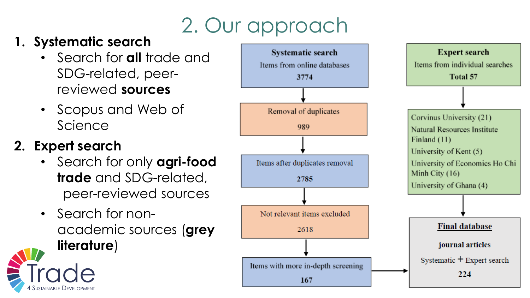### 2. Our approach

#### **1. Systematic search**

- Search for **all** trade and SDG-related, peerreviewed **sources**
- Scopus and Web of Science

### **2. Expert search**

- Search for only **agri-food trade** and SDG-related, peer-reviewed sources
- Search for nonacademic sources (**grey literature**)



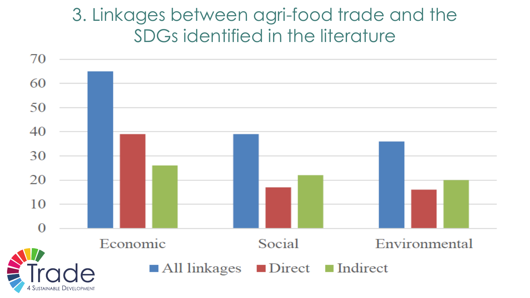### 3. Linkages between agri-food trade and the SDGs identified in the literature

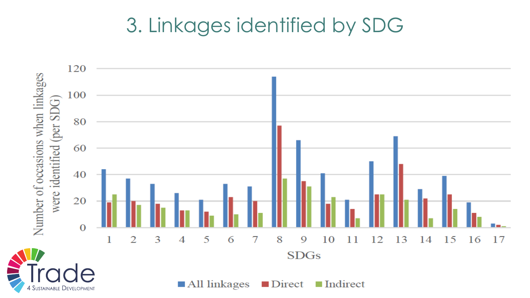### 3. Linkages identified by SDG

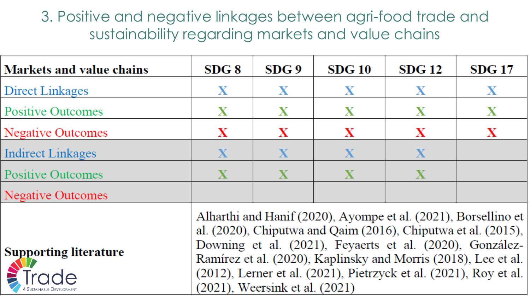#### 3. Positive and negative linkages between agri-food trade and sustainability regarding markets and value chains

| <b>Markets and value chains</b>                                                                                                                                                                                                                                                                                                                                                                                             | $SDG$ $8$    | SDG 9       | SDG10       | <b>SDG 12</b> | <b>SDG 17</b> |  |
|-----------------------------------------------------------------------------------------------------------------------------------------------------------------------------------------------------------------------------------------------------------------------------------------------------------------------------------------------------------------------------------------------------------------------------|--------------|-------------|-------------|---------------|---------------|--|
| Direct Linkages                                                                                                                                                                                                                                                                                                                                                                                                             | $\mathbf X$  | $\mathbf X$ | $\mathbf X$ | $\mathbf X$   | $\mathbf X$   |  |
| <b>Positive Outcomes</b>                                                                                                                                                                                                                                                                                                                                                                                                    | $\mathbf X$  | X           | X           | X             | X             |  |
| Negative Outcomes                                                                                                                                                                                                                                                                                                                                                                                                           | X            | X           | X           | X             | X             |  |
| Indirect Linkages                                                                                                                                                                                                                                                                                                                                                                                                           | $\mathbf{X}$ | $\mathbf X$ | $\mathbf X$ | X             |               |  |
| <b>Positive Outcomes</b>                                                                                                                                                                                                                                                                                                                                                                                                    | $\mathbf X$  | $\mathbf X$ | X           | $\mathbf{X}$  |               |  |
| <b>Negative Outcomes</b>                                                                                                                                                                                                                                                                                                                                                                                                    |              |             |             |               |               |  |
| Alharthi and Hanif (2020), Ayompe et al. (2021), Borsellino et<br>al. $(2020)$ , Chiputwa and Qaim $(2016)$ , Chiputwa et al. $(2015)$ ,<br>Downing et al. (2021), Feyaerts et al. (2020), González-<br><b>Supporting literature</b><br>Ramírez et al. (2020), Kaplinsky and Morris (2018), Lee et al.<br>$(2012)$ , Lerner et al. $(2021)$ , Pietrzyck et al. $(2021)$ , Roy et al.<br>$(2021)$ . Weersink et al. $(2021)$ |              |             |             |               |               |  |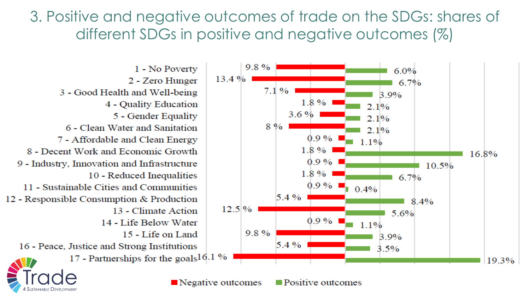3. Positive and negative outcomes of trade on the SDGs: shares of different SDGs in positive and negative outcomes (%)



 $\blacksquare$  Negative outcomes

 $\blacksquare$  Positive outcomes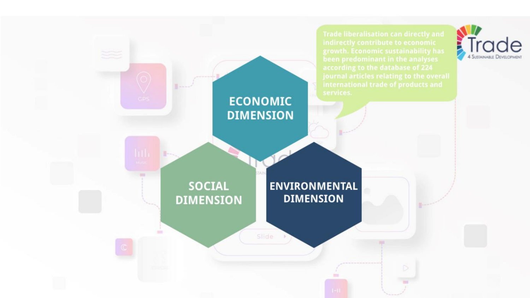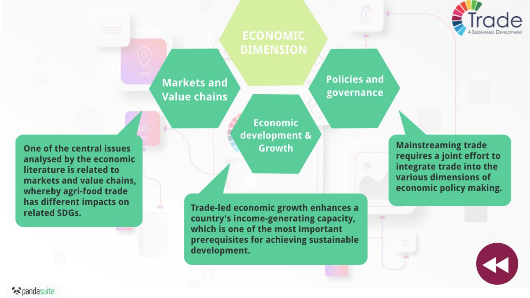

## **ECONOMIC**

**Markets and Value chains**  **Policies and** governance

One of the central issues analysed by the economic literature is related to markets and value chains. whereby agri-food trade

**Economic** development & **Growth** 

Trade-led economic growth enhances a country's income-generating capacity, which is one of the most important prerequisites for achieving sustainable development.

**Mainstreaming trade** requires a joint effort to integrate trade into the various dimensions of economic policy making.

has different impacts on

related SDGs.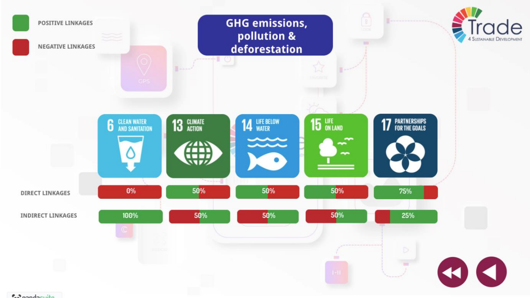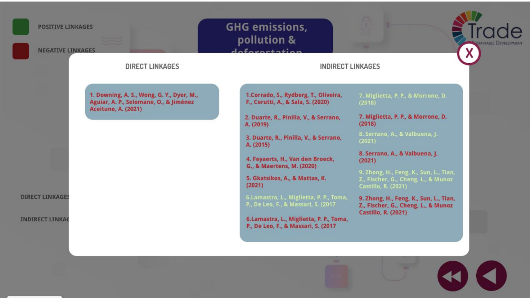